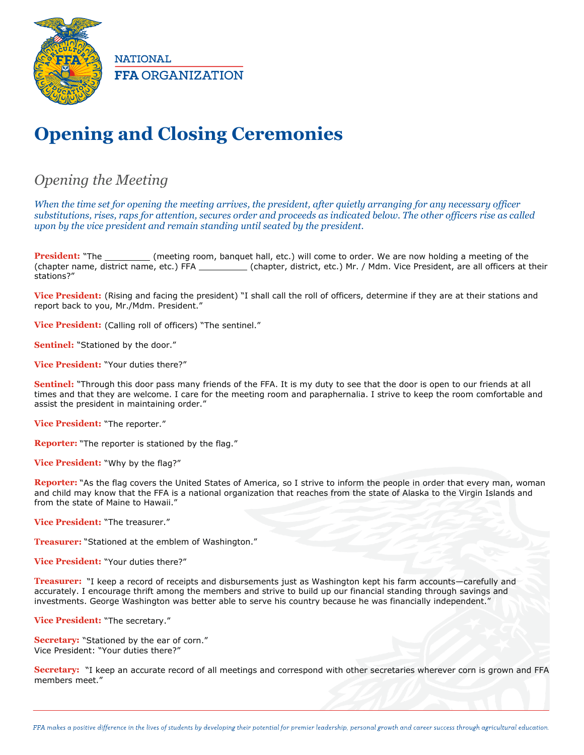

**NATIONAL FFA ORGANIZATION** 

## **Opening and Closing Ceremonies**

## *Opening the Meeting*

*When the time set for opening the meeting arrives, the president, after quietly arranging for any necessary officer substitutions, rises, raps for attention, secures order and proceeds as indicated below. The other officers rise as called upon by the vice president and remain standing until seated by the president.*

**President:** "The \_\_\_\_\_\_\_\_\_\_ (meeting room, banquet hall, etc.) will come to order. We are now holding a meeting of the (chapter name, district name, etc.) FFA \_\_\_\_\_\_\_\_\_\_\_(chapter, district, etc.) Mr. / Mdm. Vice President, are all officers at their stations?"

**Vice President:** (Rising and facing the president) "I shall call the roll of officers, determine if they are at their stations and report back to you, Mr./Mdm. President."

**Vice President:** (Calling roll of officers) "The sentinel."

**Sentinel:** "Stationed by the door."

**Vice President:** "Your duties there?"

**Sentinel:** "Through this door pass many friends of the FFA. It is my duty to see that the door is open to our friends at all times and that they are welcome. I care for the meeting room and paraphernalia. I strive to keep the room comfortable and assist the president in maintaining order."

**Vice President:** "The reporter."

**Reporter:** "The reporter is stationed by the flag."

**Vice President:** "Why by the flag?"

**Reporter:** "As the flag covers the United States of America, so I strive to inform the people in order that every man, woman and child may know that the FFA is a national organization that reaches from the state of Alaska to the Virgin Islands and from the state of Maine to Hawaii.'

**Vice President:** "The treasurer."

**Treasurer:** "Stationed at the emblem of Washington."

**Vice President:** "Your duties there?"

**Treasurer:** "I keep a record of receipts and disbursements just as Washington kept his farm accounts—carefully and accurately. I encourage thrift among the members and strive to build up our financial standing through savings and investments. George Washington was better able to serve his country because he was financially independent."

**Vice President:** "The secretary."

**Secretary:** "I keep an accurate record of all meetings and correspond with other secretaries wherever corn is grown and FFA members meet."

**Secretary:** "Stationed by the ear of corn." Vice President: "Your duties there?"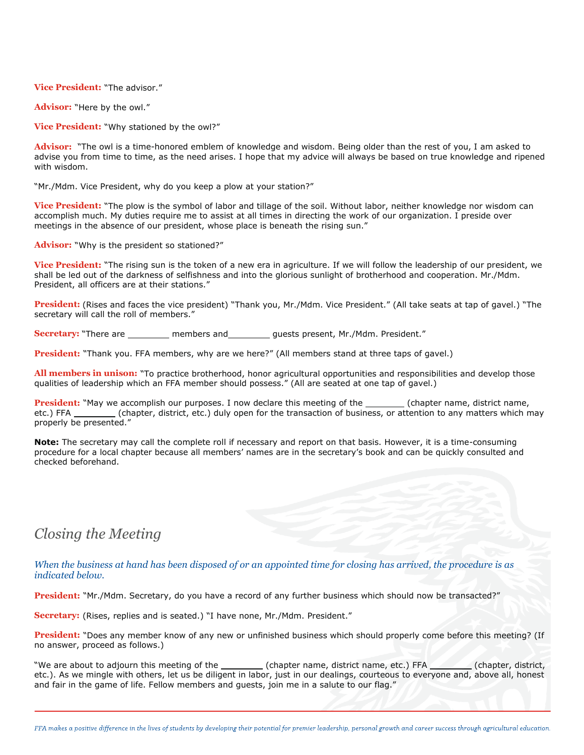**Vice President:** "The advisor."

**Advisor:** "Here by the owl."

**Vice President:** "Why stationed by the owl?"

**Advisor:** "The owl is a time-honored emblem of knowledge and wisdom. Being older than the rest of you, I am asked to advise you from time to time, as the need arises. I hope that my advice will always be based on true knowledge and ripened with wisdom.

"Mr./Mdm. Vice President, why do you keep a plow at your station?"

**Vice President:** "The plow is the symbol of labor and tillage of the soil. Without labor, neither knowledge nor wisdom can accomplish much. My duties require me to assist at all times in directing the work of our organization. I preside over meetings in the absence of our president, whose place is beneath the rising sun."

**Advisor:** "Why is the president so stationed?"

**Vice President:** "The rising sun is the token of a new era in agriculture. If we will follow the leadership of our president, we shall be led out of the darkness of selfishness and into the glorious sunlight of brotherhood and cooperation. Mr./Mdm. President, all officers are at their stations."

**President:** (Rises and faces the vice president) "Thank you, Mr./Mdm. Vice President." (All take seats at tap of gavel.) "The secretary will call the roll of members."

**Secretary:** "There are \_\_\_\_\_\_\_\_ members and \_\_\_\_\_\_ guests present, Mr./Mdm. President."

**President:** "Thank you. FFA members, why are we here?" (All members stand at three taps of gavel.)

**All members in unison:** "To practice brotherhood, honor agricultural opportunities and responsibilities and develop those qualities of leadership which an FFA member should possess." (All are seated at one tap of gavel.)

**President:** "May we accomplish our purposes. I now declare this meeting of the \_\_\_\_\_\_\_(chapter name, district name, etc.) FFA **incollect** (chapter, district, etc.) duly open for the transaction of business, or attention to any matters which may properly be presented."

**Note:** The secretary may call the complete roll if necessary and report on that basis. However, it is a time-consuming procedure for a local chapter because all members' names are in the secretary's book and can be quickly consulted and checked beforehand.

## *Closing the Meeting*

*When the business at hand has been disposed of or an appointed time for closing has arrived, the procedure is as indicated below.*

**President:** "Mr./Mdm. Secretary, do you have a record of any further business which should now be transacted?"

**Secretary:** (Rises, replies and is seated.) "I have none, Mr./Mdm. President."

**President:** "Does any member know of any new or unfinished business which should properly come before this meeting? (If no answer, proceed as follows.)

"We are about to adjourn this meeting of the \_\_\_\_\_\_\_\_\_\_ (chapter name, district name, etc.) FFA \_\_\_\_\_\_\_\_ (chapter, district, etc.). As we mingle with others, let us be diligent in labor, just in our dealings, courteous to everyone and, above all, honest and fair in the game of life. Fellow members and guests, join me in a salute to our flag."